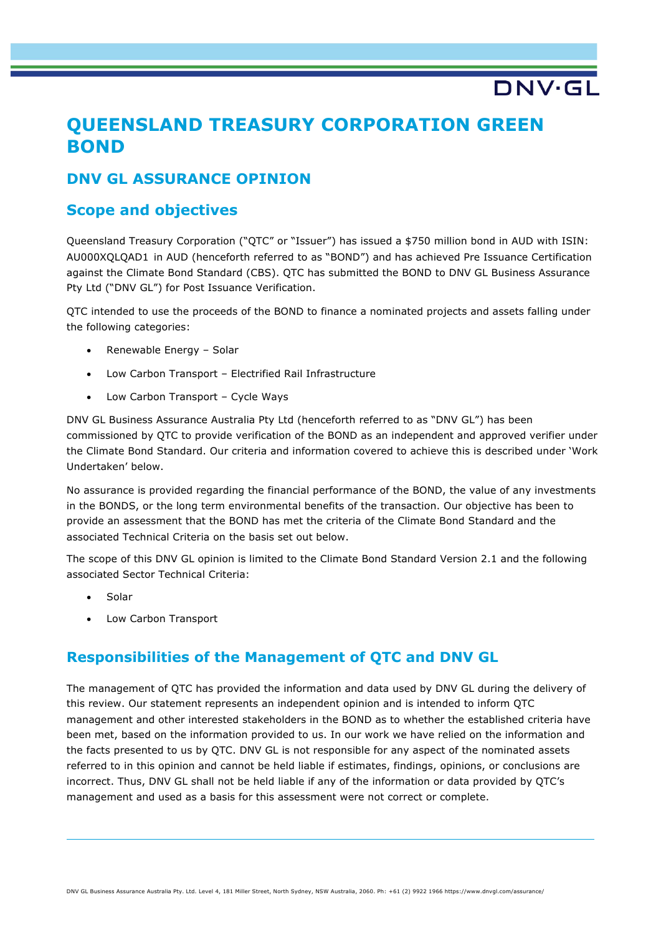# **DNV·G**

## **QUEENSLAND TREASURY CORPORATION GREEN BOND**

## **DNV GL ASSURANCE OPINION**

### **Scope and objectives**

Queensland Treasury Corporation ("QTC" or "Issuer") has issued a \$750 million bond in AUD with ISIN: AU000XQLQAD1 in AUD (henceforth referred to as "BOND") and has achieved Pre Issuance Certification against the Climate Bond Standard (CBS). QTC has submitted the BOND to DNV GL Business Assurance Pty Ltd ("DNV GL") for Post Issuance Verification.

QTC intended to use the proceeds of the BOND to finance a nominated projects and assets falling under the following categories:

- Renewable Energy Solar
- Low Carbon Transport Electrified Rail Infrastructure
- Low Carbon Transport Cycle Ways

DNV GL Business Assurance Australia Pty Ltd (henceforth referred to as "DNV GL") has been commissioned by QTC to provide verification of the BOND as an independent and approved verifier under the Climate Bond Standard. Our criteria and information covered to achieve this is described under 'Work Undertaken' below.

No assurance is provided regarding the financial performance of the BOND, the value of any investments in the BONDS, or the long term environmental benefits of the transaction. Our objective has been to provide an assessment that the BOND has met the criteria of the Climate Bond Standard and the associated Technical Criteria on the basis set out below.

The scope of this DNV GL opinion is limited to the Climate Bond Standard Version 2.1 and the following associated Sector Technical Criteria:

- Solar
- Low Carbon Transport

### **Responsibilities of the Management of QTC and DNV GL**

The management of QTC has provided the information and data used by DNV GL during the delivery of this review. Our statement represents an independent opinion and is intended to inform QTC management and other interested stakeholders in the BOND as to whether the established criteria have been met, based on the information provided to us. In our work we have relied on the information and the facts presented to us by QTC. DNV GL is not responsible for any aspect of the nominated assets referred to in this opinion and cannot be held liable if estimates, findings, opinions, or conclusions are incorrect. Thus, DNV GL shall not be held liable if any of the information or data provided by QTC's management and used as a basis for this assessment were not correct or complete.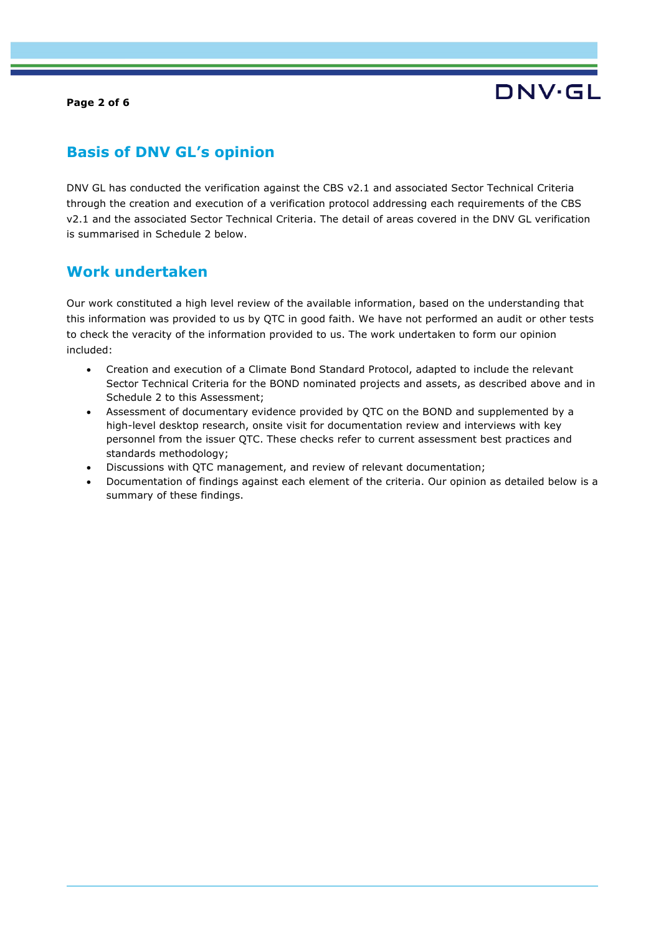**Page 2 of 6**

# DNV·GL

## **Basis of DNV GL's opinion**

DNV GL has conducted the verification against the CBS v2.1 and associated Sector Technical Criteria through the creation and execution of a verification protocol addressing each requirements of the CBS v2.1 and the associated Sector Technical Criteria. The detail of areas covered in the DNV GL verification is summarised in Schedule 2 below.

## **Work undertaken**

Our work constituted a high level review of the available information, based on the understanding that this information was provided to us by QTC in good faith. We have not performed an audit or other tests to check the veracity of the information provided to us. The work undertaken to form our opinion included:

- Creation and execution of a Climate Bond Standard Protocol, adapted to include the relevant Sector Technical Criteria for the BOND nominated projects and assets, as described above and in Schedule 2 to this Assessment;
- Assessment of documentary evidence provided by QTC on the BOND and supplemented by a high-level desktop research, onsite visit for documentation review and interviews with key personnel from the issuer QTC. These checks refer to current assessment best practices and standards methodology;
- Discussions with QTC management, and review of relevant documentation;
- Documentation of findings against each element of the criteria. Our opinion as detailed below is a summary of these findings.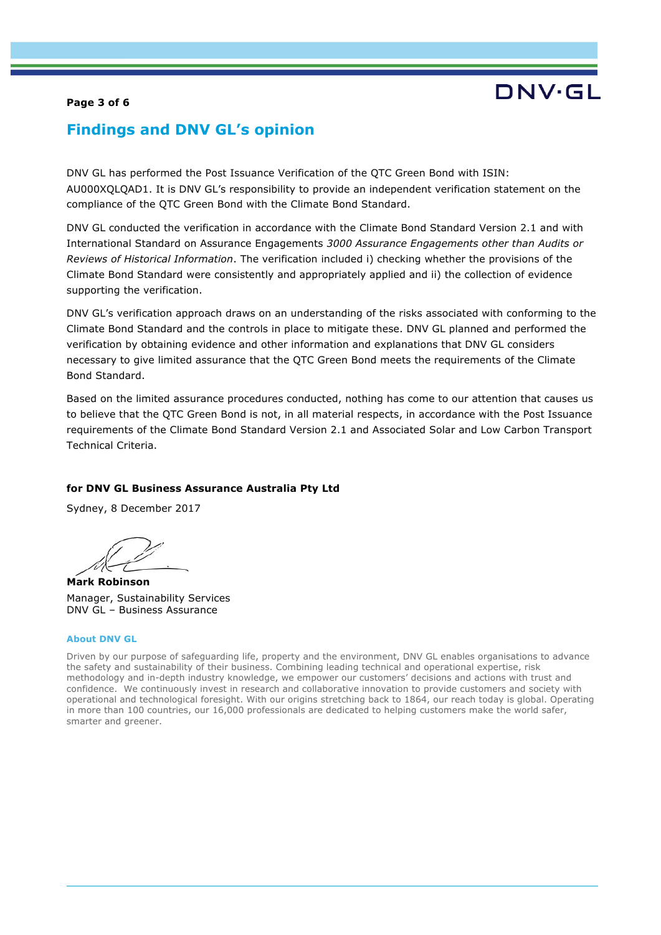#### **Page 3 of 6**

## **Findings and DNV GL's opinion**

DNV GL has performed the Post Issuance Verification of the QTC Green Bond with ISIN: AU000XQLQAD1. It is DNV GL's responsibility to provide an independent verification statement on the compliance of the QTC Green Bond with the Climate Bond Standard.

DNV GL conducted the verification in accordance with the Climate Bond Standard Version 2.1 and with International Standard on Assurance Engagements *3000 Assurance Engagements other than Audits or Reviews of Historical Information*. The verification included i) checking whether the provisions of the Climate Bond Standard were consistently and appropriately applied and ii) the collection of evidence supporting the verification.

DNV GL's verification approach draws on an understanding of the risks associated with conforming to the Climate Bond Standard and the controls in place to mitigate these. DNV GL planned and performed the verification by obtaining evidence and other information and explanations that DNV GL considers necessary to give limited assurance that the QTC Green Bond meets the requirements of the Climate Bond Standard.

Based on the limited assurance procedures conducted, nothing has come to our attention that causes us to believe that the QTC Green Bond is not, in all material respects, in accordance with the Post Issuance requirements of the Climate Bond Standard Version 2.1 and Associated Solar and Low Carbon Transport Technical Criteria.

#### **for DNV GL Business Assurance Australia Pty Ltd**

Sydney, 8 December 2017

**Mark Robinson** Manager, Sustainability Services DNV GL – Business Assurance

#### **About DNV GL**

Driven by our purpose of safeguarding life, property and the environment, DNV GL enables organisations to advance the safety and sustainability of their business. Combining leading technical and operational expertise, risk methodology and in-depth industry knowledge, we empower our customers' decisions and actions with trust and confidence. We continuously invest in research and collaborative innovation to provide customers and society with operational and technological foresight. With our origins stretching back to 1864, our reach today is global. Operating in more than 100 countries, our 16,000 professionals are dedicated to helping customers make the world safer, smarter and greener.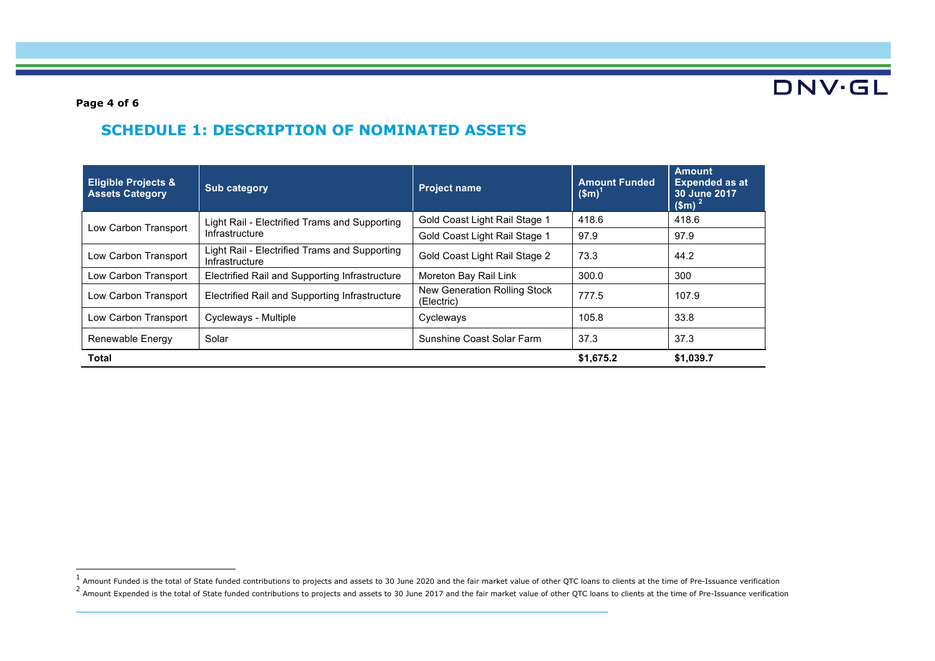DNV.GL

**Page 4 of 6**

## **SCHEDULE 1: DESCRIPTION OF NOMINATED ASSETS**

| <b>Eligible Projects &amp;</b><br><b>Assets Category</b> | <b>Sub category</b>                                             | <b>Project name</b>                        | <b>Amount Funded</b><br>(Sm) | <b>Amount</b><br><b>Expended as at</b><br>30 June 2017<br>$$m$$ <sup>2</sup> |
|----------------------------------------------------------|-----------------------------------------------------------------|--------------------------------------------|------------------------------|------------------------------------------------------------------------------|
| Low Carbon Transport                                     | Light Rail - Electrified Trams and Supporting<br>Infrastructure | Gold Coast Light Rail Stage 1              | 418.6                        | 418.6                                                                        |
|                                                          |                                                                 | Gold Coast Light Rail Stage 1              | 97.9                         | 97.9                                                                         |
| Low Carbon Transport                                     | Light Rail - Electrified Trams and Supporting<br>Infrastructure | Gold Coast Light Rail Stage 2              | 73.3                         | 44.2                                                                         |
| Low Carbon Transport                                     | Electrified Rail and Supporting Infrastructure                  | Moreton Bay Rail Link                      | 300.0                        | 300                                                                          |
| Low Carbon Transport                                     | Electrified Rail and Supporting Infrastructure                  | New Generation Rolling Stock<br>(Electric) | 777.5                        | 107.9                                                                        |
| Low Carbon Transport                                     | Cycleways - Multiple                                            | Cycleways                                  | 105.8                        | 33.8                                                                         |
| Renewable Energy                                         | Solar                                                           | Sunshine Coast Solar Farm                  | 37.3                         | 37.3                                                                         |
| Total                                                    |                                                                 |                                            | \$1,675.2                    | \$1,039.7                                                                    |

<sup>1&</sup>lt;br>Amount Funded is the total of State funded contributions to projects and assets to 30 June 2020 and the fair market value of other QTC loans to clients at the time of Pre-Issuance verification  $^2$  Amount Expended is the total of State funded contributions to projects and assets to 30 June 2017 and the fair market value of other QTC loans to clients at the time of Pre-Issuance verification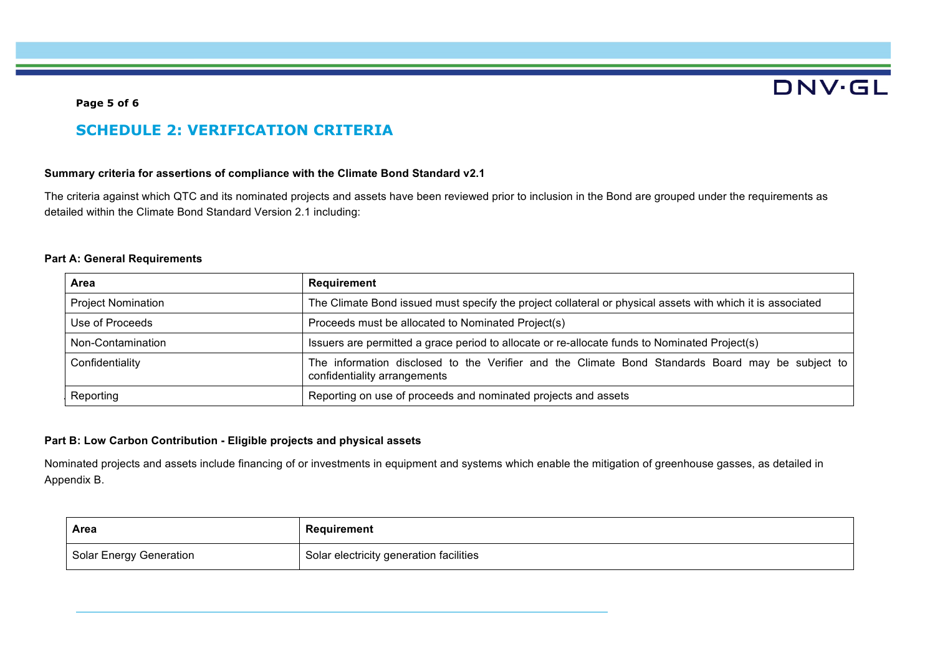## **DNV·GL**

#### **Page 5 of 6**

## **SCHEDULE 2: VERIFICATION CRITERIA**

#### **Summary criteria for assertions of compliance with the Climate Bond Standard v2.1**

The criteria against which QTC and its nominated projects and assets have been reviewed prior to inclusion in the Bond are grouped under the requirements as detailed within the Climate Bond Standard Version 2.1 including:

#### **Part A: General Requirements**

| Area                      | Requirement                                                                                                                      |  |
|---------------------------|----------------------------------------------------------------------------------------------------------------------------------|--|
| <b>Project Nomination</b> | The Climate Bond issued must specify the project collateral or physical assets with which it is associated                       |  |
| Use of Proceeds           | Proceeds must be allocated to Nominated Project(s)                                                                               |  |
| Non-Contamination         | Issuers are permitted a grace period to allocate or re-allocate funds to Nominated Project(s)                                    |  |
| Confidentiality           | The information disclosed to the Verifier and the Climate Bond Standards Board may be subject to<br>confidentiality arrangements |  |
| Reporting                 | Reporting on use of proceeds and nominated projects and assets                                                                   |  |

#### **Part B: Low Carbon Contribution - Eligible projects and physical assets**

Nominated projects and assets include financing of or investments in equipment and systems which enable the mitigation of greenhouse gasses, as detailed in Appendix B.

| Area                           | Requirement                             |
|--------------------------------|-----------------------------------------|
| <b>Solar Energy Generation</b> | Solar electricity generation facilities |